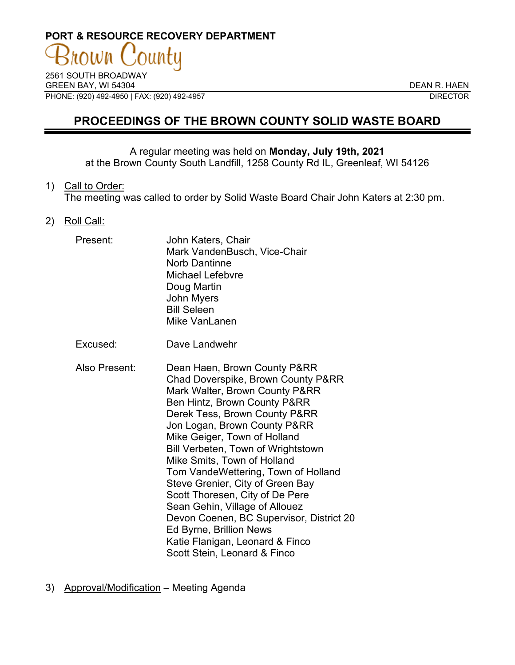## **PORT & RESOURCE RECOVERY DEPARTMENT** าน)ท

2561 SOUTH BROADWAY GREEN BAY, WI 54304 DEAN R. HAEN PHONE: (920) 492-4950 | FAX: (920) 492-4957 DIRECTOR

## **PROCEEDINGS OF THE BROWN COUNTY SOLID WASTE BOARD**

## A regular meeting was held on **Monday, July 19th, 2021**

at the Brown County South Landfill, 1258 County Rd IL, Greenleaf, WI 54126

1) Call to Order:

The meeting was called to order by Solid Waste Board Chair John Katers at 2:30 pm.

2) Roll Call:

| Present:      | John Katers, Chair<br>Mark VandenBusch, Vice-Chair<br><b>Norb Dantinne</b><br><b>Michael Lefebvre</b><br>Doug Martin<br><b>John Myers</b><br><b>Bill Seleen</b><br>Mike VanLanen                                                                                                                                                                                                                                                                           |
|---------------|------------------------------------------------------------------------------------------------------------------------------------------------------------------------------------------------------------------------------------------------------------------------------------------------------------------------------------------------------------------------------------------------------------------------------------------------------------|
| Excused:      | Dave Landwehr                                                                                                                                                                                                                                                                                                                                                                                                                                              |
| Also Present: | Dean Haen, Brown County P&RR<br>Chad Doverspike, Brown County P&RR<br>Mark Walter, Brown County P&RR<br>Ben Hintz, Brown County P&RR<br>Derek Tess, Brown County P&RR<br>Jon Logan, Brown County P&RR<br>Mike Geiger, Town of Holland<br>Bill Verbeten, Town of Wrightstown<br>Mike Smits, Town of Holland<br>Tom VandeWettering, Town of Holland<br>Steve Grenier, City of Green Bay<br>Scott Thoresen, City of De Pere<br>Sean Gehin, Village of Allouez |

Ed Byrne, Brillion News Katie Flanigan, Leonard & Finco Scott Stein, Leonard & Finco

Devon Coenen, BC Supervisor, District 20

3) Approval/Modification – Meeting Agenda